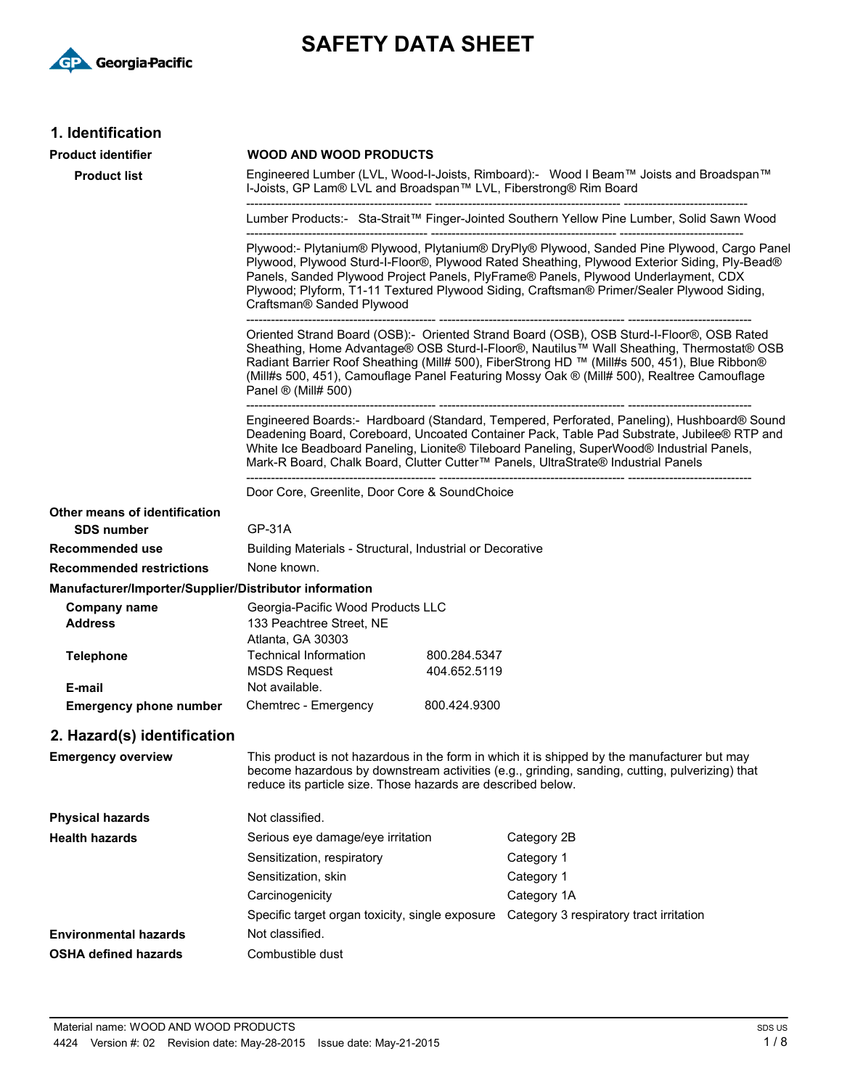

# **SAFETY DATA SHEET**

# **1. Identification**

| 1. Identification                                      |                                                                                                                                                                                                                                                                                                                                                                                                                       |              |                                                                                                                                                                                                |
|--------------------------------------------------------|-----------------------------------------------------------------------------------------------------------------------------------------------------------------------------------------------------------------------------------------------------------------------------------------------------------------------------------------------------------------------------------------------------------------------|--------------|------------------------------------------------------------------------------------------------------------------------------------------------------------------------------------------------|
| <b>Product identifier</b>                              | <b>WOOD AND WOOD PRODUCTS</b>                                                                                                                                                                                                                                                                                                                                                                                         |              |                                                                                                                                                                                                |
| <b>Product list</b>                                    | Engineered Lumber (LVL, Wood-I-Joists, Rimboard):- Wood I Beam™ Joists and Broadspan™<br>I-Joists, GP Lam® LVL and Broadspan™ LVL, Fiberstrong® Rim Board                                                                                                                                                                                                                                                             |              |                                                                                                                                                                                                |
|                                                        |                                                                                                                                                                                                                                                                                                                                                                                                                       |              | Lumber Products:- Sta-Strait™ Finger-Jointed Southern Yellow Pine Lumber, Solid Sawn Wood                                                                                                      |
|                                                        | Plywood:- Plytanium® Plywood, Plytanium® DryPly® Plywood, Sanded Pine Plywood, Cargo Panel<br>Plywood, Plywood Sturd-I-Floor®, Plywood Rated Sheathing, Plywood Exterior Siding, Ply-Bead®<br>Panels, Sanded Plywood Project Panels, PlyFrame® Panels, Plywood Underlayment, CDX<br>Plywood; Plyform, T1-11 Textured Plywood Siding, Craftsman® Primer/Sealer Plywood Siding,<br>Craftsman® Sanded Plywood            |              |                                                                                                                                                                                                |
|                                                        | Oriented Strand Board (OSB):- Oriented Strand Board (OSB), OSB Sturd-I-Floor®, OSB Rated<br>Sheathing, Home Advantage® OSB Sturd-I-Floor®, Nautilus™ Wall Sheathing, Thermostat® OSB<br>Radiant Barrier Roof Sheathing (Mill# 500), FiberStrong HD ™ (Mill#s 500, 451), Blue Ribbon®<br>(Mill#s 500, 451), Camouflage Panel Featuring Mossy Oak ® (Mill# 500), Realtree Camouflage<br>Panel $\mathcal{D}$ (Mill# 500) |              |                                                                                                                                                                                                |
|                                                        | Engineered Boards:- Hardboard (Standard, Tempered, Perforated, Paneling), Hushboard® Sound<br>Deadening Board, Coreboard, Uncoated Container Pack, Table Pad Substrate, Jubilee® RTP and<br>White Ice Beadboard Paneling, Lionite® Tileboard Paneling, SuperWood® Industrial Panels,<br>Mark-R Board, Chalk Board, Clutter Cutter™ Panels, UltraStrate® Industrial Panels                                             |              |                                                                                                                                                                                                |
|                                                        | Door Core, Greenlite, Door Core & SoundChoice                                                                                                                                                                                                                                                                                                                                                                         |              |                                                                                                                                                                                                |
| Other means of identification                          |                                                                                                                                                                                                                                                                                                                                                                                                                       |              |                                                                                                                                                                                                |
| <b>SDS number</b>                                      | <b>GP-31A</b>                                                                                                                                                                                                                                                                                                                                                                                                         |              |                                                                                                                                                                                                |
| Recommended use                                        | Building Materials - Structural, Industrial or Decorative                                                                                                                                                                                                                                                                                                                                                             |              |                                                                                                                                                                                                |
| <b>Recommended restrictions</b>                        | None known.                                                                                                                                                                                                                                                                                                                                                                                                           |              |                                                                                                                                                                                                |
| Manufacturer/Importer/Supplier/Distributor information |                                                                                                                                                                                                                                                                                                                                                                                                                       |              |                                                                                                                                                                                                |
| Company name                                           | Georgia-Pacific Wood Products LLC                                                                                                                                                                                                                                                                                                                                                                                     |              |                                                                                                                                                                                                |
| <b>Address</b>                                         | 133 Peachtree Street, NE<br>Atlanta, GA 30303                                                                                                                                                                                                                                                                                                                                                                         |              |                                                                                                                                                                                                |
| <b>Telephone</b>                                       | Technical Information                                                                                                                                                                                                                                                                                                                                                                                                 | 800.284.5347 |                                                                                                                                                                                                |
|                                                        | <b>MSDS Request</b><br>Not available.                                                                                                                                                                                                                                                                                                                                                                                 | 404.652.5119 |                                                                                                                                                                                                |
| E-mail<br><b>Emergency phone number</b>                | Chemtrec - Emergency                                                                                                                                                                                                                                                                                                                                                                                                  | 800.424.9300 |                                                                                                                                                                                                |
|                                                        |                                                                                                                                                                                                                                                                                                                                                                                                                       |              |                                                                                                                                                                                                |
| 2. Hazard(s) identification                            |                                                                                                                                                                                                                                                                                                                                                                                                                       |              |                                                                                                                                                                                                |
| <b>Emergency overview</b>                              | reduce its particle size. Those hazards are described below.                                                                                                                                                                                                                                                                                                                                                          |              | This product is not hazardous in the form in which it is shipped by the manufacturer but may<br>become hazardous by downstream activities (e.g., grinding, sanding, cutting, pulverizing) that |
| <b>Physical hazards</b>                                | Not classified.                                                                                                                                                                                                                                                                                                                                                                                                       |              |                                                                                                                                                                                                |
| <b>Health hazards</b>                                  | Serious eye damage/eye irritation                                                                                                                                                                                                                                                                                                                                                                                     |              | Category 2B                                                                                                                                                                                    |
|                                                        | Sensitization, respiratory                                                                                                                                                                                                                                                                                                                                                                                            |              | Category 1                                                                                                                                                                                     |
|                                                        | Sensitization, skin                                                                                                                                                                                                                                                                                                                                                                                                   |              | Category 1                                                                                                                                                                                     |
|                                                        | Carcinogenicity                                                                                                                                                                                                                                                                                                                                                                                                       |              | Category 1A                                                                                                                                                                                    |
|                                                        | Specific target organ toxicity, single exposure                                                                                                                                                                                                                                                                                                                                                                       |              | Category 3 respiratory tract irritation                                                                                                                                                        |
| <b>Environmental hazards</b>                           | Not classified.                                                                                                                                                                                                                                                                                                                                                                                                       |              |                                                                                                                                                                                                |
| <b>OSHA defined hazards</b>                            | Combustible dust                                                                                                                                                                                                                                                                                                                                                                                                      |              |                                                                                                                                                                                                |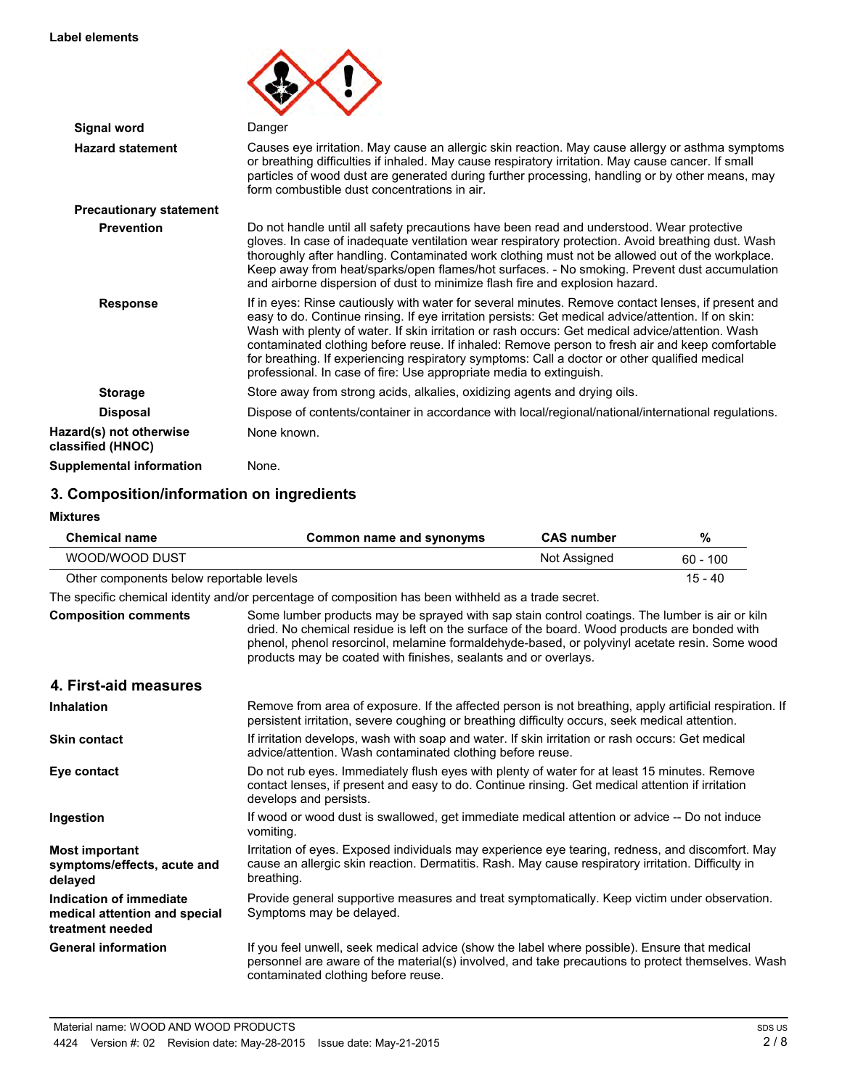#### **Label elements**

| <b>Signal word</b>                           | Danger                                                                                                                                                                                                                                                                                                                                                                                                                                                                                                                                                                                   |
|----------------------------------------------|------------------------------------------------------------------------------------------------------------------------------------------------------------------------------------------------------------------------------------------------------------------------------------------------------------------------------------------------------------------------------------------------------------------------------------------------------------------------------------------------------------------------------------------------------------------------------------------|
| <b>Hazard statement</b>                      | Causes eye irritation. May cause an allergic skin reaction. May cause allergy or asthma symptoms<br>or breathing difficulties if inhaled. May cause respiratory irritation. May cause cancer. If small<br>particles of wood dust are generated during further processing, handling or by other means, may<br>form combustible dust concentrations in air.                                                                                                                                                                                                                                |
| <b>Precautionary statement</b>               |                                                                                                                                                                                                                                                                                                                                                                                                                                                                                                                                                                                          |
| <b>Prevention</b>                            | Do not handle until all safety precautions have been read and understood. Wear protective<br>gloves. In case of inadequate ventilation wear respiratory protection. Avoid breathing dust. Wash<br>thoroughly after handling. Contaminated work clothing must not be allowed out of the workplace.<br>Keep away from heat/sparks/open flames/hot surfaces. - No smoking. Prevent dust accumulation<br>and airborne dispersion of dust to minimize flash fire and explosion hazard.                                                                                                        |
| <b>Response</b>                              | If in eyes: Rinse cautiously with water for several minutes. Remove contact lenses, if present and<br>easy to do. Continue rinsing. If eye irritation persists: Get medical advice/attention. If on skin:<br>Wash with plenty of water. If skin irritation or rash occurs: Get medical advice/attention. Wash<br>contaminated clothing before reuse. If inhaled: Remove person to fresh air and keep comfortable<br>for breathing. If experiencing respiratory symptoms: Call a doctor or other qualified medical<br>professional. In case of fire: Use appropriate media to extinguish. |
| <b>Storage</b>                               | Store away from strong acids, alkalies, oxidizing agents and drying oils.                                                                                                                                                                                                                                                                                                                                                                                                                                                                                                                |
| <b>Disposal</b>                              | Dispose of contents/container in accordance with local/regional/national/international regulations.                                                                                                                                                                                                                                                                                                                                                                                                                                                                                      |
| Hazard(s) not otherwise<br>classified (HNOC) | None known.                                                                                                                                                                                                                                                                                                                                                                                                                                                                                                                                                                              |
| <b>Supplemental information</b>              | None.                                                                                                                                                                                                                                                                                                                                                                                                                                                                                                                                                                                    |

# **3. Composition/information on ingredients**

| <b>Mixtures</b>                                                              |                                                                                                                                                                                                                                                                                                                                                                     |                   |            |
|------------------------------------------------------------------------------|---------------------------------------------------------------------------------------------------------------------------------------------------------------------------------------------------------------------------------------------------------------------------------------------------------------------------------------------------------------------|-------------------|------------|
| <b>Chemical name</b>                                                         | Common name and synonyms                                                                                                                                                                                                                                                                                                                                            | <b>CAS number</b> | %          |
| WOOD/WOOD DUST                                                               |                                                                                                                                                                                                                                                                                                                                                                     | Not Assigned      | $60 - 100$ |
| Other components below reportable levels                                     |                                                                                                                                                                                                                                                                                                                                                                     |                   | $15 - 40$  |
|                                                                              | The specific chemical identity and/or percentage of composition has been withheld as a trade secret.                                                                                                                                                                                                                                                                |                   |            |
| <b>Composition comments</b>                                                  | Some lumber products may be sprayed with sap stain control coatings. The lumber is air or kiln<br>dried. No chemical residue is left on the surface of the board. Wood products are bonded with<br>phenol, phenol resorcinol, melamine formaldehyde-based, or polyvinyl acetate resin. Some wood<br>products may be coated with finishes, sealants and or overlays. |                   |            |
| 4. First-aid measures                                                        |                                                                                                                                                                                                                                                                                                                                                                     |                   |            |
| <b>Inhalation</b>                                                            | Remove from area of exposure. If the affected person is not breathing, apply artificial respiration. If<br>persistent irritation, severe coughing or breathing difficulty occurs, seek medical attention.                                                                                                                                                           |                   |            |
| <b>Skin contact</b>                                                          | If irritation develops, wash with soap and water. If skin irritation or rash occurs: Get medical<br>advice/attention. Wash contaminated clothing before reuse.                                                                                                                                                                                                      |                   |            |
| Eye contact                                                                  | Do not rub eyes. Immediately flush eyes with plenty of water for at least 15 minutes. Remove<br>contact lenses, if present and easy to do. Continue rinsing. Get medical attention if irritation<br>develops and persists.                                                                                                                                          |                   |            |
| Ingestion                                                                    | If wood or wood dust is swallowed, get immediate medical attention or advice -- Do not induce<br>vomiting.                                                                                                                                                                                                                                                          |                   |            |
| <b>Most important</b><br>symptoms/effects, acute and<br>delayed              | Irritation of eyes. Exposed individuals may experience eye tearing, redness, and discomfort. May<br>cause an allergic skin reaction. Dermatitis. Rash. May cause respiratory irritation. Difficulty in<br>breathing.                                                                                                                                                |                   |            |
| Indication of immediate<br>medical attention and special<br>treatment needed | Provide general supportive measures and treat symptomatically. Keep victim under observation.<br>Symptoms may be delayed.                                                                                                                                                                                                                                           |                   |            |
| <b>General information</b>                                                   | If you feel unwell, seek medical advice (show the label where possible). Ensure that medical<br>personnel are aware of the material(s) involved, and take precautions to protect themselves. Wash<br>contaminated clothing before reuse.                                                                                                                            |                   |            |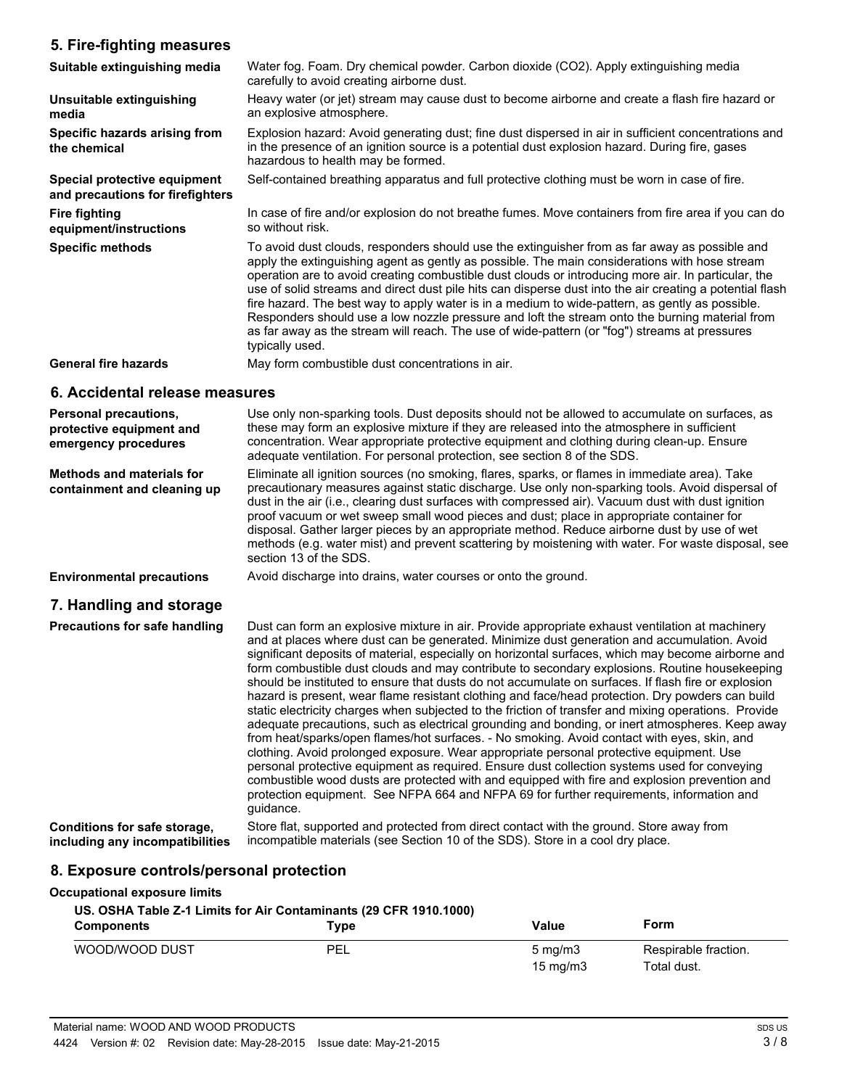## **5. Fire-fighting measures**

| 5. Fire-righting measures                                                        |                                                                                                                                                                                                                                                                                                                                                                                                                                                                                                                                                                                                                                                                                                                                            |
|----------------------------------------------------------------------------------|--------------------------------------------------------------------------------------------------------------------------------------------------------------------------------------------------------------------------------------------------------------------------------------------------------------------------------------------------------------------------------------------------------------------------------------------------------------------------------------------------------------------------------------------------------------------------------------------------------------------------------------------------------------------------------------------------------------------------------------------|
| Suitable extinguishing media                                                     | Water fog. Foam. Dry chemical powder. Carbon dioxide (CO2). Apply extinguishing media<br>carefully to avoid creating airborne dust.                                                                                                                                                                                                                                                                                                                                                                                                                                                                                                                                                                                                        |
| Unsuitable extinguishing<br>media                                                | Heavy water (or jet) stream may cause dust to become airborne and create a flash fire hazard or<br>an explosive atmosphere.                                                                                                                                                                                                                                                                                                                                                                                                                                                                                                                                                                                                                |
| Specific hazards arising from<br>the chemical                                    | Explosion hazard: Avoid generating dust; fine dust dispersed in air in sufficient concentrations and<br>in the presence of an ignition source is a potential dust explosion hazard. During fire, gases<br>hazardous to health may be formed.                                                                                                                                                                                                                                                                                                                                                                                                                                                                                               |
| Special protective equipment<br>and precautions for firefighters                 | Self-contained breathing apparatus and full protective clothing must be worn in case of fire.                                                                                                                                                                                                                                                                                                                                                                                                                                                                                                                                                                                                                                              |
| <b>Fire fighting</b><br>equipment/instructions                                   | In case of fire and/or explosion do not breathe fumes. Move containers from fire area if you can do<br>so without risk.                                                                                                                                                                                                                                                                                                                                                                                                                                                                                                                                                                                                                    |
| <b>Specific methods</b>                                                          | To avoid dust clouds, responders should use the extinguisher from as far away as possible and<br>apply the extinguishing agent as gently as possible. The main considerations with hose stream<br>operation are to avoid creating combustible dust clouds or introducing more air. In particular, the<br>use of solid streams and direct dust pile hits can disperse dust into the air creating a potential flash<br>fire hazard. The best way to apply water is in a medium to wide-pattern, as gently as possible.<br>Responders should use a low nozzle pressure and loft the stream onto the burning material from<br>as far away as the stream will reach. The use of wide-pattern (or "fog") streams at pressures<br>typically used. |
| <b>General fire hazards</b>                                                      | May form combustible dust concentrations in air.                                                                                                                                                                                                                                                                                                                                                                                                                                                                                                                                                                                                                                                                                           |
| 6. Accidental release measures                                                   |                                                                                                                                                                                                                                                                                                                                                                                                                                                                                                                                                                                                                                                                                                                                            |
| <b>Personal precautions,</b><br>protective equipment and<br>emergency procedures | Use only non-sparking tools. Dust deposits should not be allowed to accumulate on surfaces, as<br>these may form an explosive mixture if they are released into the atmosphere in sufficient<br>concentration. Wear appropriate protective equipment and clothing during clean-up. Ensure<br>adequate ventilation. For personal protection, see section 8 of the SDS.                                                                                                                                                                                                                                                                                                                                                                      |
| <b>Methods and materials for</b><br>containment and cleaning up                  | Eliminate all ignition sources (no smoking, flares, sparks, or flames in immediate area). Take<br>precautionary measures against static discharge. Use only non-sparking tools. Avoid dispersal of<br>dust in the air (i.e., clearing dust surfaces with compressed air). Vacuum dust with dust ignition<br>proof vacuum or wet sweep small wood pieces and dust; place in appropriate container for<br>disposal. Gather larger pieces by an appropriate method. Reduce airborne dust by use of wet<br>methods (e.g. water mist) and prevent scattering by moistening with water. For waste disposal, see<br>section 13 of the SDS.                                                                                                        |
| <b>Environmental precautions</b>                                                 | Avoid discharge into drains, water courses or onto the ground.                                                                                                                                                                                                                                                                                                                                                                                                                                                                                                                                                                                                                                                                             |
| 7. Handling and storage                                                          |                                                                                                                                                                                                                                                                                                                                                                                                                                                                                                                                                                                                                                                                                                                                            |
| <b>Precautions for safe handling</b>                                             | Dust can form an explosive mixture in air. Provide appropriate exhaust ventilation at machinery<br>and at places where dust can be generated. Minimize dust generation and accumulation. Avoid<br>significant deposits of material, especially on horizontal surfaces, which may become airborne and<br>form combustible dust clouds and may contribute to secondary explosions. Routine housekeeping<br>should be instituted to ensure that dusts do not accumulate on surfaces. If flash fire or explosion<br>hazard is present, wear flame resistant clothing and face/head protection. Dry powders can build<br>static electricity charges when subjected to the friction of transfer and mixing operations. Provide                   |

# **8. Exposure controls/personal protection**

#### **Occupational exposure limits**

**Conditions for safe storage, including any incompatibilities**

#### **US. OSHA Table Z-1 Limits for Air Contaminants (29 CFR 1910.1000)**

guidance.

| <b>Components</b> | туре | Value                                 | Form                                |
|-------------------|------|---------------------------------------|-------------------------------------|
| WOOD/WOOD DUST    | PEL  | $5 \text{ mg/m}$<br>$15 \text{ mg/m}$ | Respirable fraction.<br>Total dust. |

adequate precautions, such as electrical grounding and bonding, or inert atmospheres. Keep away from heat/sparks/open flames/hot surfaces. - No smoking. Avoid contact with eyes, skin, and clothing. Avoid prolonged exposure. Wear appropriate personal protective equipment. Use personal protective equipment as required. Ensure dust collection systems used for conveying combustible wood dusts are protected with and equipped with fire and explosion prevention and protection equipment. See NFPA 664 and NFPA 69 for further requirements, information and

Store flat, supported and protected from direct contact with the ground. Store away from

incompatible materials (see Section 10 of the SDS). Store in a cool dry place.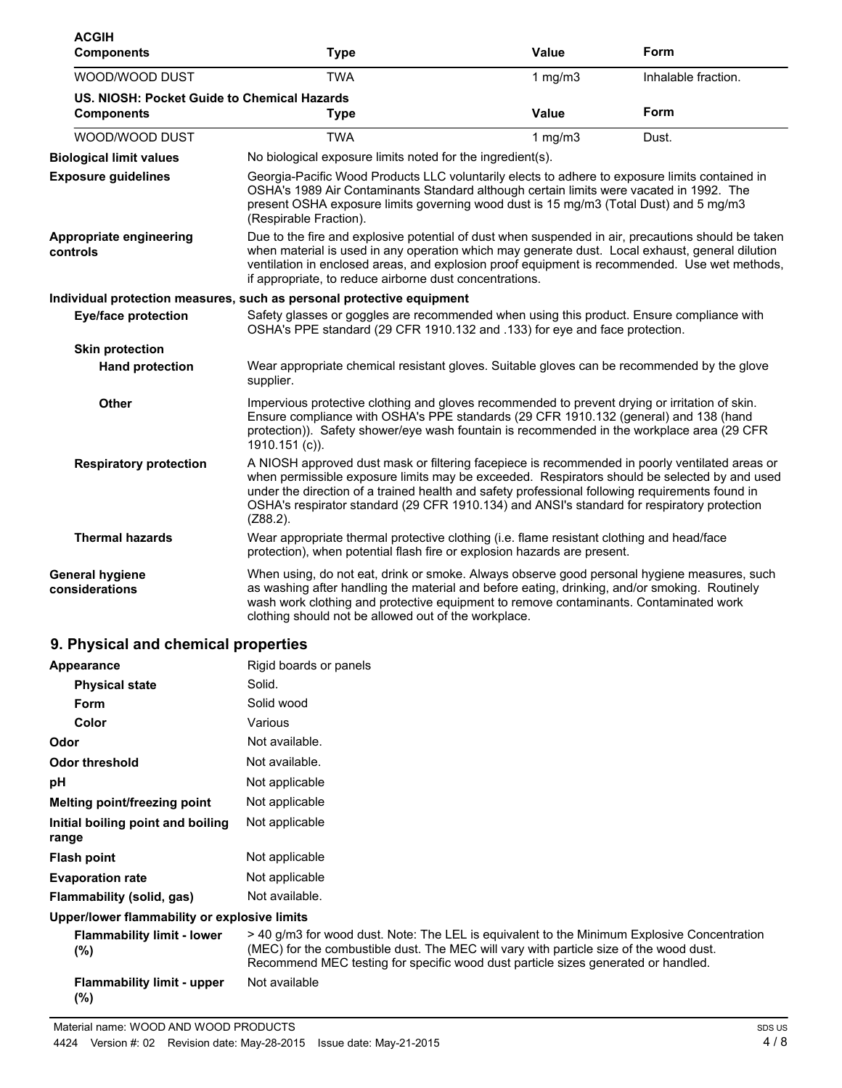| <b>ACGIH</b><br><b>Components</b>                                | Type                                                                                                                                                                                                                                                                                                                                                                                                            | Value                                                                                                                                                                                                                                                                              | Form                |  |
|------------------------------------------------------------------|-----------------------------------------------------------------------------------------------------------------------------------------------------------------------------------------------------------------------------------------------------------------------------------------------------------------------------------------------------------------------------------------------------------------|------------------------------------------------------------------------------------------------------------------------------------------------------------------------------------------------------------------------------------------------------------------------------------|---------------------|--|
| WOOD/WOOD DUST                                                   | <b>TWA</b>                                                                                                                                                                                                                                                                                                                                                                                                      | 1 $mg/m3$                                                                                                                                                                                                                                                                          | Inhalable fraction. |  |
| US. NIOSH: Pocket Guide to Chemical Hazards<br><b>Components</b> | <b>Type</b>                                                                                                                                                                                                                                                                                                                                                                                                     | Value                                                                                                                                                                                                                                                                              | Form                |  |
| WOOD/WOOD DUST                                                   | <b>TWA</b>                                                                                                                                                                                                                                                                                                                                                                                                      | 1 $mg/m3$                                                                                                                                                                                                                                                                          | Dust.               |  |
| <b>Biological limit values</b>                                   | No biological exposure limits noted for the ingredient(s).                                                                                                                                                                                                                                                                                                                                                      |                                                                                                                                                                                                                                                                                    |                     |  |
| <b>Exposure guidelines</b>                                       | (Respirable Fraction).                                                                                                                                                                                                                                                                                                                                                                                          | Georgia-Pacific Wood Products LLC voluntarily elects to adhere to exposure limits contained in<br>OSHA's 1989 Air Contaminants Standard although certain limits were vacated in 1992. The<br>present OSHA exposure limits governing wood dust is 15 mg/m3 (Total Dust) and 5 mg/m3 |                     |  |
| Appropriate engineering<br>controls                              | Due to the fire and explosive potential of dust when suspended in air, precautions should be taken<br>when material is used in any operation which may generate dust. Local exhaust, general dilution<br>ventilation in enclosed areas, and explosion proof equipment is recommended. Use wet methods,<br>if appropriate, to reduce airborne dust concentrations.                                               |                                                                                                                                                                                                                                                                                    |                     |  |
|                                                                  | Individual protection measures, such as personal protective equipment                                                                                                                                                                                                                                                                                                                                           |                                                                                                                                                                                                                                                                                    |                     |  |
| <b>Eye/face protection</b>                                       | Safety glasses or goggles are recommended when using this product. Ensure compliance with<br>OSHA's PPE standard (29 CFR 1910.132 and .133) for eye and face protection.                                                                                                                                                                                                                                        |                                                                                                                                                                                                                                                                                    |                     |  |
| <b>Skin protection</b>                                           |                                                                                                                                                                                                                                                                                                                                                                                                                 |                                                                                                                                                                                                                                                                                    |                     |  |
| <b>Hand protection</b>                                           | Wear appropriate chemical resistant gloves. Suitable gloves can be recommended by the glove<br>supplier.                                                                                                                                                                                                                                                                                                        |                                                                                                                                                                                                                                                                                    |                     |  |
| Other                                                            | Impervious protective clothing and gloves recommended to prevent drying or irritation of skin.<br>Ensure compliance with OSHA's PPE standards (29 CFR 1910.132 (general) and 138 (hand<br>protection)). Safety shower/eye wash fountain is recommended in the workplace area (29 CFR<br>1910.151 (c)).                                                                                                          |                                                                                                                                                                                                                                                                                    |                     |  |
| <b>Respiratory protection</b>                                    | A NIOSH approved dust mask or filtering facepiece is recommended in poorly ventilated areas or<br>when permissible exposure limits may be exceeded. Respirators should be selected by and used<br>under the direction of a trained health and safety professional following requirements found in<br>OSHA's respirator standard (29 CFR 1910.134) and ANSI's standard for respiratory protection<br>$(Z88.2)$ . |                                                                                                                                                                                                                                                                                    |                     |  |
| <b>Thermal hazards</b>                                           | Wear appropriate thermal protective clothing (i.e. flame resistant clothing and head/face<br>protection), when potential flash fire or explosion hazards are present.                                                                                                                                                                                                                                           |                                                                                                                                                                                                                                                                                    |                     |  |
| <b>General hygiene</b><br>considerations                         | When using, do not eat, drink or smoke. Always observe good personal hygiene measures, such<br>as washing after handling the material and before eating, drinking, and/or smoking. Routinely<br>wash work clothing and protective equipment to remove contaminants. Contaminated work<br>clothing should not be allowed out of the workplace.                                                                   |                                                                                                                                                                                                                                                                                    |                     |  |
| 9. Physical and chemical properties                              |                                                                                                                                                                                                                                                                                                                                                                                                                 |                                                                                                                                                                                                                                                                                    |                     |  |
|                                                                  | Diaid hoorde or nonolo                                                                                                                                                                                                                                                                                                                                                                                          |                                                                                                                                                                                                                                                                                    |                     |  |

| Appearance                                   | Rigio boards or pariers                                                                                                                                                                                                                                                   |
|----------------------------------------------|---------------------------------------------------------------------------------------------------------------------------------------------------------------------------------------------------------------------------------------------------------------------------|
| <b>Physical state</b>                        | Solid.                                                                                                                                                                                                                                                                    |
| <b>Form</b>                                  | Solid wood                                                                                                                                                                                                                                                                |
| Color                                        | Various                                                                                                                                                                                                                                                                   |
| Odor                                         | Not available.                                                                                                                                                                                                                                                            |
| <b>Odor threshold</b>                        | Not available.                                                                                                                                                                                                                                                            |
| рH                                           | Not applicable                                                                                                                                                                                                                                                            |
| Melting point/freezing point                 | Not applicable                                                                                                                                                                                                                                                            |
| Initial boiling point and boiling<br>range   | Not applicable                                                                                                                                                                                                                                                            |
| <b>Flash point</b>                           | Not applicable                                                                                                                                                                                                                                                            |
| <b>Evaporation rate</b>                      | Not applicable                                                                                                                                                                                                                                                            |
| Flammability (solid, gas)                    | Not available.                                                                                                                                                                                                                                                            |
| Upper/lower flammability or explosive limits |                                                                                                                                                                                                                                                                           |
| <b>Flammability limit - lower</b><br>$(\%)$  | >40 g/m3 for wood dust. Note: The LEL is equivalent to the Minimum Explosive Concentration<br>(MEC) for the combustible dust. The MEC will vary with particle size of the wood dust.<br>Recommend MEC testing for specific wood dust particle sizes generated or handled. |
| <b>Flammability limit - upper</b><br>(%)     | Not available                                                                                                                                                                                                                                                             |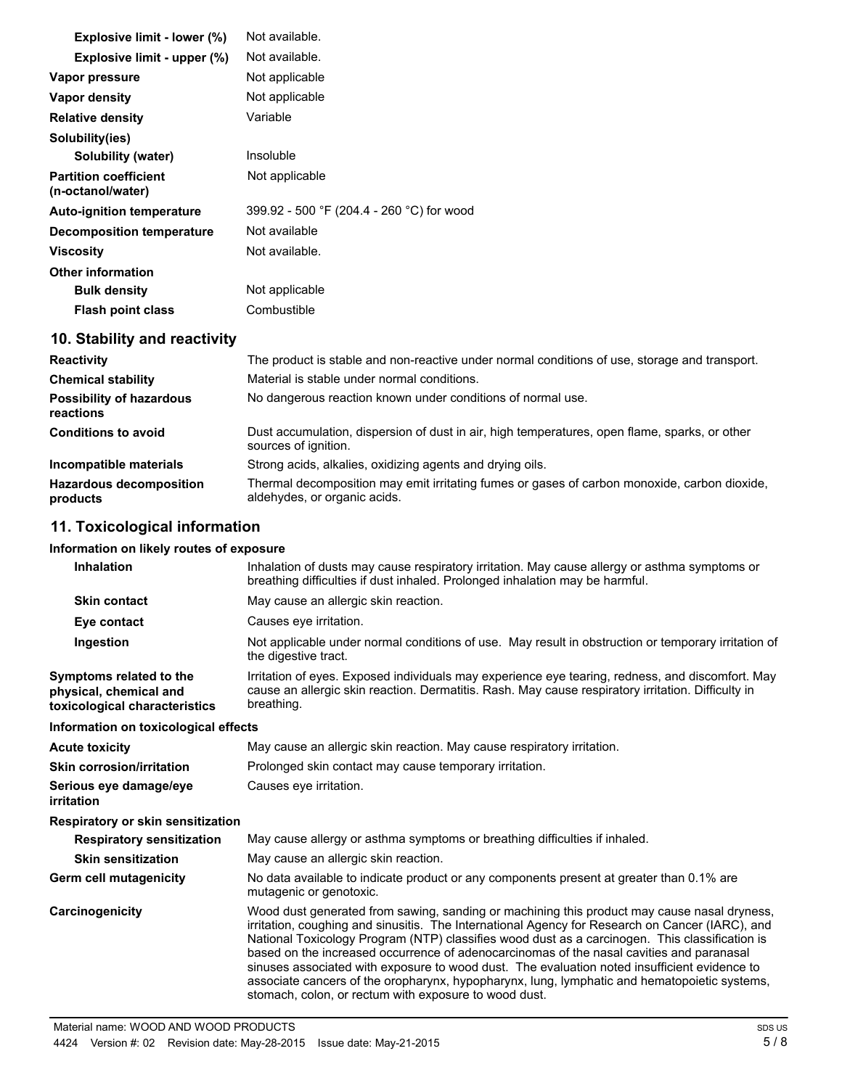| Explosive limit - lower (%)                       | Not available.                            |
|---------------------------------------------------|-------------------------------------------|
| Explosive limit - upper (%)                       | Not available.                            |
| Vapor pressure                                    | Not applicable                            |
| Vapor density                                     | Not applicable                            |
| <b>Relative density</b>                           | Variable                                  |
| Solubility(ies)                                   |                                           |
| Solubility (water)                                | Insoluble                                 |
| <b>Partition coefficient</b><br>(n-octanol/water) | Not applicable                            |
| <b>Auto-ignition temperature</b>                  | 399.92 - 500 °F (204.4 - 260 °C) for wood |
| <b>Decomposition temperature</b>                  | Not available                             |
| Viscosity                                         | Not available.                            |
| <b>Other information</b>                          |                                           |
| <b>Bulk density</b>                               | Not applicable                            |
| <b>Flash point class</b>                          | Combustible                               |

# **10. Stability and reactivity**

| <b>Reactivity</b>                            | The product is stable and non-reactive under normal conditions of use, storage and transport.                                |
|----------------------------------------------|------------------------------------------------------------------------------------------------------------------------------|
| <b>Chemical stability</b>                    | Material is stable under normal conditions.                                                                                  |
| <b>Possibility of hazardous</b><br>reactions | No dangerous reaction known under conditions of normal use.                                                                  |
| <b>Conditions to avoid</b>                   | Dust accumulation, dispersion of dust in air, high temperatures, open flame, sparks, or other<br>sources of ignition.        |
| Incompatible materials                       | Strong acids, alkalies, oxidizing agents and drying oils.                                                                    |
| <b>Hazardous decomposition</b><br>products   | Thermal decomposition may emit irritating fumes or gases of carbon monoxide, carbon dioxide,<br>aldehydes, or organic acids. |

## **11. Toxicological information**

#### **Information on likely routes of exposure**

| <b>Inhalation</b>                                                                  | Inhalation of dusts may cause respiratory irritation. May cause allergy or asthma symptoms or<br>breathing difficulties if dust inhaled. Prolonged inhalation may be harmful.                                                                                                                                                                                                                                                                                                                                                                                                                                                                         |
|------------------------------------------------------------------------------------|-------------------------------------------------------------------------------------------------------------------------------------------------------------------------------------------------------------------------------------------------------------------------------------------------------------------------------------------------------------------------------------------------------------------------------------------------------------------------------------------------------------------------------------------------------------------------------------------------------------------------------------------------------|
| <b>Skin contact</b>                                                                | May cause an allergic skin reaction.                                                                                                                                                                                                                                                                                                                                                                                                                                                                                                                                                                                                                  |
| Eye contact                                                                        | Causes eye irritation.                                                                                                                                                                                                                                                                                                                                                                                                                                                                                                                                                                                                                                |
| Ingestion                                                                          | Not applicable under normal conditions of use. May result in obstruction or temporary irritation of<br>the digestive tract.                                                                                                                                                                                                                                                                                                                                                                                                                                                                                                                           |
| Symptoms related to the<br>physical, chemical and<br>toxicological characteristics | Irritation of eyes. Exposed individuals may experience eye tearing, redness, and discomfort. May<br>cause an allergic skin reaction. Dermatitis. Rash. May cause respiratory irritation. Difficulty in<br>breathing.                                                                                                                                                                                                                                                                                                                                                                                                                                  |
| Information on toxicological effects                                               |                                                                                                                                                                                                                                                                                                                                                                                                                                                                                                                                                                                                                                                       |
| <b>Acute toxicity</b>                                                              | May cause an allergic skin reaction. May cause respiratory irritation.                                                                                                                                                                                                                                                                                                                                                                                                                                                                                                                                                                                |
| <b>Skin corrosion/irritation</b>                                                   | Prolonged skin contact may cause temporary irritation.                                                                                                                                                                                                                                                                                                                                                                                                                                                                                                                                                                                                |
| Serious eye damage/eye<br>irritation                                               | Causes eve irritation.                                                                                                                                                                                                                                                                                                                                                                                                                                                                                                                                                                                                                                |
| Respiratory or skin sensitization                                                  |                                                                                                                                                                                                                                                                                                                                                                                                                                                                                                                                                                                                                                                       |
| <b>Respiratory sensitization</b>                                                   | May cause allergy or asthma symptoms or breathing difficulties if inhaled.                                                                                                                                                                                                                                                                                                                                                                                                                                                                                                                                                                            |
| <b>Skin sensitization</b>                                                          | May cause an allergic skin reaction.                                                                                                                                                                                                                                                                                                                                                                                                                                                                                                                                                                                                                  |
| Germ cell mutagenicity                                                             | No data available to indicate product or any components present at greater than 0.1% are<br>mutagenic or genotoxic.                                                                                                                                                                                                                                                                                                                                                                                                                                                                                                                                   |
| Carcinogenicity                                                                    | Wood dust generated from sawing, sanding or machining this product may cause nasal dryness,<br>irritation, coughing and sinusitis. The International Agency for Research on Cancer (IARC), and<br>National Toxicology Program (NTP) classifies wood dust as a carcinogen. This classification is<br>based on the increased occurrence of adenocarcinomas of the nasal cavities and paranasal<br>sinuses associated with exposure to wood dust. The evaluation noted insufficient evidence to<br>associate cancers of the oropharynx, hypopharynx, lung, lymphatic and hematopoietic systems,<br>stomach, colon, or rectum with exposure to wood dust. |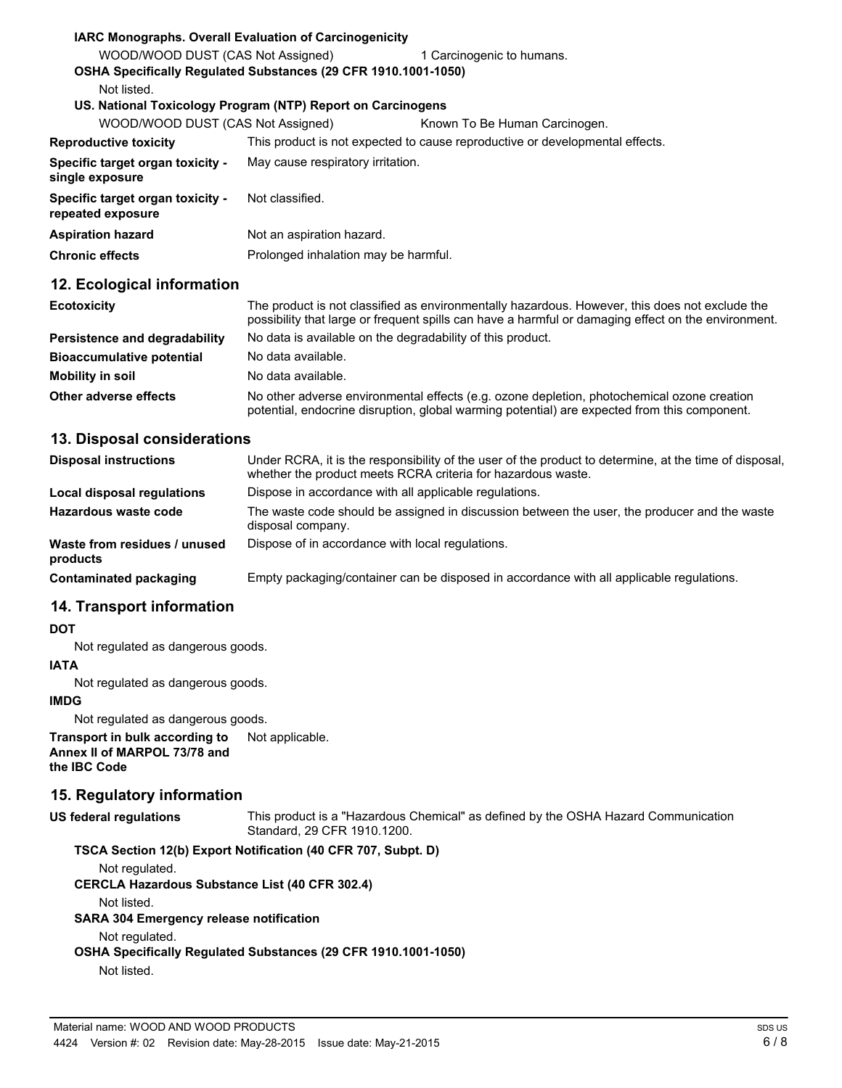| <b>IARC Monographs. Overall Evaluation of Carcinogenicity</b>         |                                      |                                                                                                |
|-----------------------------------------------------------------------|--------------------------------------|------------------------------------------------------------------------------------------------|
| WOOD/WOOD DUST (CAS Not Assigned)                                     |                                      | 1 Carcinogenic to humans.                                                                      |
| <b>OSHA Specifically Requiated Substances (29 CFR 1910.1001-1050)</b> |                                      |                                                                                                |
| Not listed.                                                           |                                      |                                                                                                |
| US. National Toxicology Program (NTP) Report on Carcinogens           |                                      |                                                                                                |
| WOOD/WOOD DUST (CAS Not Assigned)                                     |                                      | Known To Be Human Carcinogen.                                                                  |
| <b>Reproductive toxicity</b>                                          |                                      | This product is not expected to cause reproductive or developmental effects.                   |
| <b>Specific target organ toxicity -</b><br>single exposure            | May cause respiratory irritation.    |                                                                                                |
| <b>Specific target organ toxicity -</b><br>repeated exposure          | Not classified.                      |                                                                                                |
| <b>Aspiration hazard</b>                                              | Not an aspiration hazard.            |                                                                                                |
| <b>Chronic effects</b>                                                | Prolonged inhalation may be harmful. |                                                                                                |
| 12. Ecological information                                            |                                      |                                                                                                |
| <b>Ecotoxicity</b>                                                    |                                      | The product is not classified as environmentally hazardous. However, this does not exclude the |

|                                  | possibility that large or frequent spills can have a harmful or damaging effect on the environment.                                                                                        |
|----------------------------------|--------------------------------------------------------------------------------------------------------------------------------------------------------------------------------------------|
| Persistence and degradability    | No data is available on the degradability of this product.                                                                                                                                 |
| <b>Bioaccumulative potential</b> | No data available.                                                                                                                                                                         |
| Mobility in soil                 | No data available.                                                                                                                                                                         |
| Other adverse effects            | No other adverse environmental effects (e.g. ozone depletion, photochemical ozone creation<br>potential, endocrine disruption, global warming potential) are expected from this component. |

### **13. Disposal considerations**

| <b>Disposal instructions</b>             | Under RCRA, it is the responsibility of the user of the product to determine, at the time of disposal,<br>whether the product meets RCRA criteria for hazardous waste. |
|------------------------------------------|------------------------------------------------------------------------------------------------------------------------------------------------------------------------|
| Local disposal regulations               | Dispose in accordance with all applicable regulations.                                                                                                                 |
| Hazardous waste code                     | The waste code should be assigned in discussion between the user, the producer and the waste<br>disposal company.                                                      |
| Waste from residues / unused<br>products | Dispose of in accordance with local regulations.                                                                                                                       |
| Contaminated packaging                   | Empty packaging/container can be disposed in accordance with all applicable regulations.                                                                               |

### **14. Transport information**

#### **DOT**

Not regulated as dangerous goods.

### **IATA**

Not regulated as dangerous goods.

#### **IMDG**

Not regulated as dangerous goods.

**Transport in bulk according to** Not applicable. **Annex II of MARPOL 73/78 and the IBC Code**

### **15. Regulatory information**

**US federal regulations** This product is a "Hazardous Chemical" as defined by the OSHA Hazard Communication Standard, 29 CFR 1910.1200.

# **TSCA Section 12(b) Export Notification (40 CFR 707, Subpt. D)**

Not regulated.

**CERCLA Hazardous Substance List (40 CFR 302.4)**

Not listed.

**SARA 304 Emergency release notification**

Not regulated.

**OSHA Specifically Regulated Substances (29 CFR 1910.1001-1050)**

Not listed.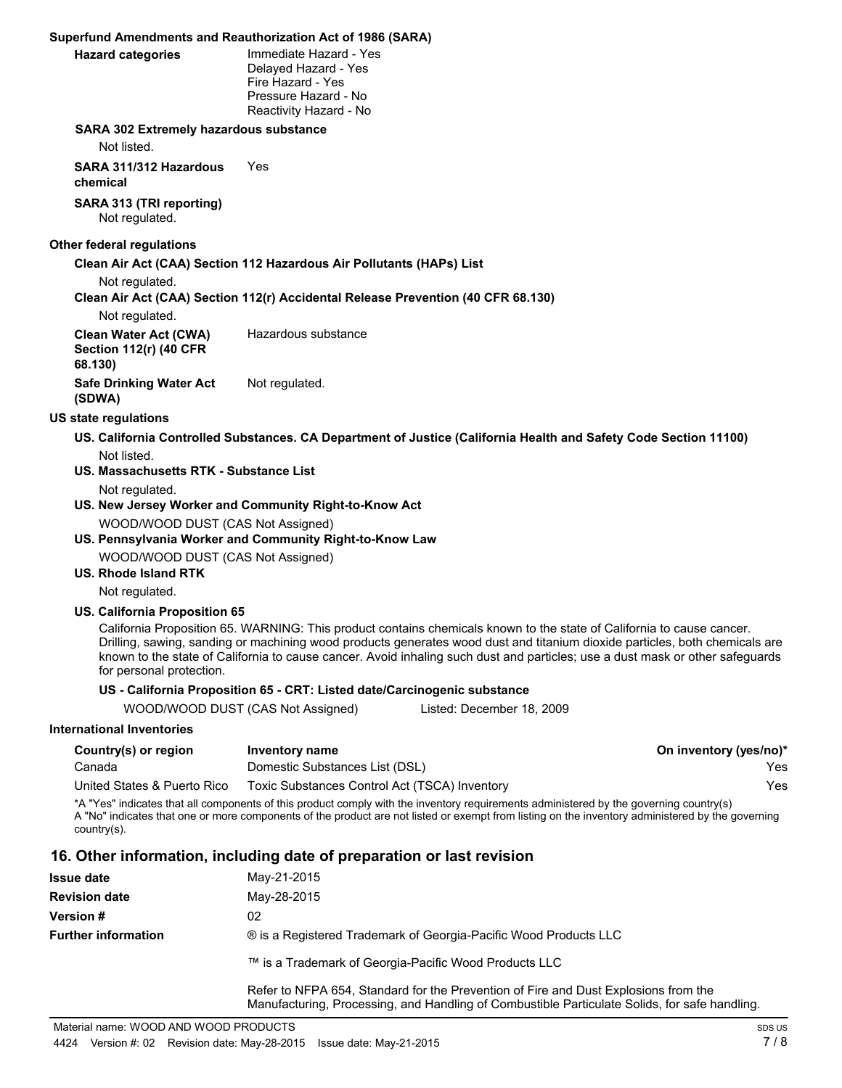#### **Superfund Amendments and Reauthorization Act of 1986 (SARA)**

| <b>Hazard categories</b> |  |
|--------------------------|--|

**Immediate Hazard - Yes** Delayed Hazard - Yes Fire Hazard - Yes Pressure Hazard - No Reactivity Hazard - No

#### **SARA 302 Extremely hazardous substance**

Not listed.

**SARA 311/312 Hazardous chemical** Yes

**SARA 313 (TRI reporting)** Not regulated.

#### **Other federal regulations**

**Clean Air Act (CAA) Section 112 Hazardous Air Pollutants (HAPs) List**

Not regulated.

#### **Clean Air Act (CAA) Section 112(r) Accidental Release Prevention (40 CFR 68.130)**

Not regulated.

| Clean Water Act (CWA)<br>Section 112(r) (40 CFR<br>68.130) | Hazardous substance |  |
|------------------------------------------------------------|---------------------|--|
| Safe Drinking Water Act<br>(SDWA)                          | Not regulated.      |  |

#### **US state regulations**

- **US. California Controlled Substances. CA Department of Justice (California Health and Safety Code Section 11100)** Not listed.
- **US. Massachusetts RTK Substance List**

Not regulated.

- **US. New Jersey Worker and Community Right-to-Know Act** WOOD/WOOD DUST (CAS Not Assigned)
- **US. Pennsylvania Worker and Community Right-to-Know Law**

WOOD/WOOD DUST (CAS Not Assigned)

#### **US. Rhode Island RTK**

Not regulated.

#### **US. California Proposition 65**

California Proposition 65. WARNING: This product contains chemicals known to the state of California to cause cancer. Drilling, sawing, sanding or machining wood products generates wood dust and titanium dioxide particles, both chemicals are known to the state of California to cause cancer. Avoid inhaling such dust and particles; use a dust mask or other safeguards for personal protection.

#### **US - California Proposition 65 - CRT: Listed date/Carcinogenic substance**

WOOD/WOOD DUST (CAS Not Assigned) Listed: December 18, 2009

#### **International Inventories**

| Country(s) or region        | Inventory name                                | On inventory (yes/no)* |
|-----------------------------|-----------------------------------------------|------------------------|
| Canada                      | Domestic Substances List (DSL)                | Yes.                   |
| United States & Puerto Rico | Toxic Substances Control Act (TSCA) Inventory | Yes.                   |

\*A "Yes" indicates that all components of this product comply with the inventory requirements administered by the governing country(s) A "No" indicates that one or more components of the product are not listed or exempt from listing on the inventory administered by the governing country(s).

### **16. Other information, including date of preparation or last revision**

| <b>Issue date</b>          | May-21-2015                                                                                                                                                                          |
|----------------------------|--------------------------------------------------------------------------------------------------------------------------------------------------------------------------------------|
| <b>Revision date</b>       | May-28-2015                                                                                                                                                                          |
| <b>Version#</b>            | 02                                                                                                                                                                                   |
| <b>Further information</b> | ® is a Registered Trademark of Georgia-Pacific Wood Products LLC                                                                                                                     |
|                            | ™ is a Trademark of Georgia-Pacific Wood Products LLC                                                                                                                                |
|                            | Refer to NFPA 654, Standard for the Prevention of Fire and Dust Explosions from the<br>Manufacturing, Processing, and Handling of Combustible Particulate Solids, for safe handling. |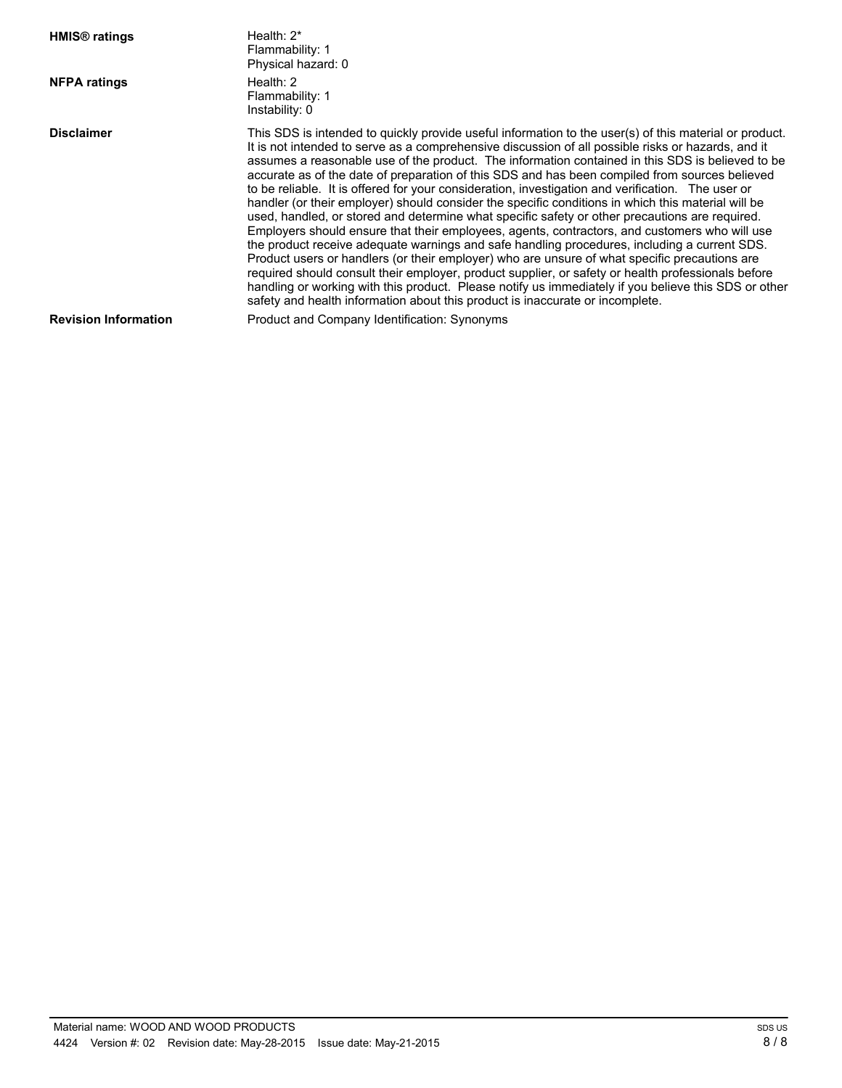| <b>HMIS<sup>®</sup></b> ratings | Health: $2^*$<br>Flammability: 1<br>Physical hazard: 0                                                                                                                                                                                                                                                                                                                                                                                                                                                                                                                                                                                                                                                                                                                                                                                                                                                                                                                                                                                                                                                                                                                                                                                                                                                                           |
|---------------------------------|----------------------------------------------------------------------------------------------------------------------------------------------------------------------------------------------------------------------------------------------------------------------------------------------------------------------------------------------------------------------------------------------------------------------------------------------------------------------------------------------------------------------------------------------------------------------------------------------------------------------------------------------------------------------------------------------------------------------------------------------------------------------------------------------------------------------------------------------------------------------------------------------------------------------------------------------------------------------------------------------------------------------------------------------------------------------------------------------------------------------------------------------------------------------------------------------------------------------------------------------------------------------------------------------------------------------------------|
| <b>NFPA ratings</b>             | Health: $2 \overline{ }$<br>Flammability: 1<br>Instability: 0                                                                                                                                                                                                                                                                                                                                                                                                                                                                                                                                                                                                                                                                                                                                                                                                                                                                                                                                                                                                                                                                                                                                                                                                                                                                    |
| <b>Disclaimer</b>               | This SDS is intended to quickly provide useful information to the user(s) of this material or product.<br>It is not intended to serve as a comprehensive discussion of all possible risks or hazards, and it<br>assumes a reasonable use of the product. The information contained in this SDS is believed to be<br>accurate as of the date of preparation of this SDS and has been compiled from sources believed<br>to be reliable. It is offered for your consideration, investigation and verification. The user or<br>handler (or their employer) should consider the specific conditions in which this material will be<br>used, handled, or stored and determine what specific safety or other precautions are required.<br>Employers should ensure that their employees, agents, contractors, and customers who will use<br>the product receive adequate warnings and safe handling procedures, including a current SDS.<br>Product users or handlers (or their employer) who are unsure of what specific precautions are<br>required should consult their employer, product supplier, or safety or health professionals before<br>handling or working with this product. Please notify us immediately if you believe this SDS or other<br>safety and health information about this product is inaccurate or incomplete. |
| <b>Revision Information</b>     | Product and Company Identification: Synonyms                                                                                                                                                                                                                                                                                                                                                                                                                                                                                                                                                                                                                                                                                                                                                                                                                                                                                                                                                                                                                                                                                                                                                                                                                                                                                     |